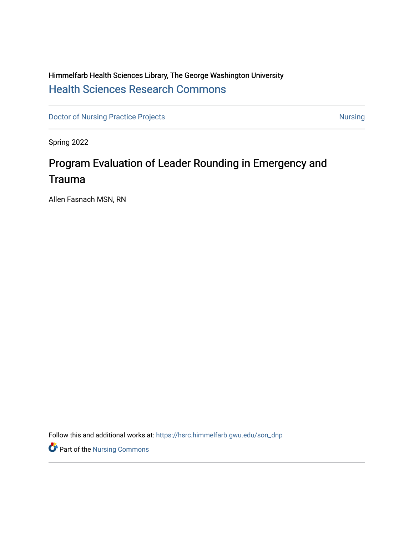## Himmelfarb Health Sciences Library, The George Washington University [Health Sciences Research Commons](https://hsrc.himmelfarb.gwu.edu/)

[Doctor of Nursing Practice Projects](https://hsrc.himmelfarb.gwu.edu/son_dnp) [Nursing](https://hsrc.himmelfarb.gwu.edu/son_nurs) Nursing Nursing

Spring 2022

# Program Evaluation of Leader Rounding in Emergency and Trauma

Allen Fasnach MSN, RN

Follow this and additional works at: [https://hsrc.himmelfarb.gwu.edu/son\\_dnp](https://hsrc.himmelfarb.gwu.edu/son_dnp?utm_source=hsrc.himmelfarb.gwu.edu%2Fson_dnp%2F117&utm_medium=PDF&utm_campaign=PDFCoverPages)

**P** Part of the Nursing Commons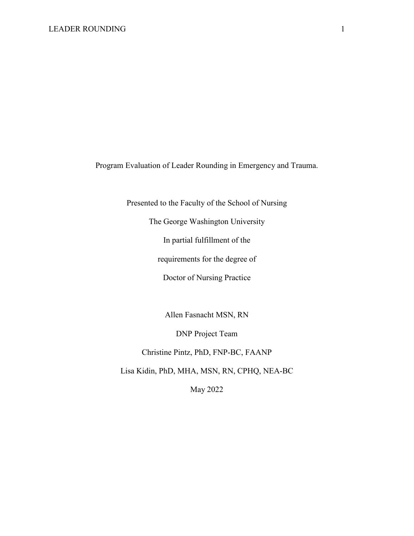Program Evaluation of Leader Rounding in Emergency and Trauma.

Presented to the Faculty of the School of Nursing

The George Washington University

In partial fulfillment of the

requirements for the degree of

Doctor of Nursing Practice

Allen Fasnacht MSN, RN

DNP Project Team

Christine Pintz, PhD, FNP-BC, FAANP

Lisa Kidin, PhD, MHA, MSN, RN, CPHQ, NEA-BC

May 2022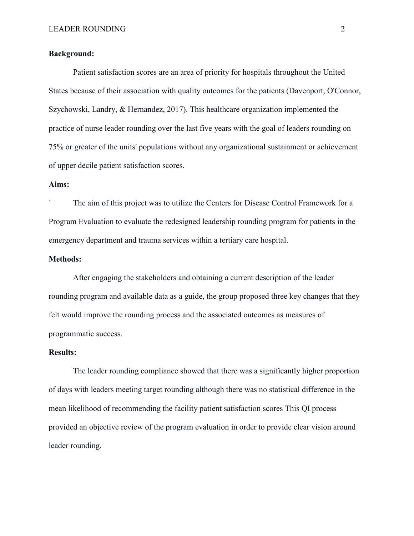#### **Background:**

Patient satisfaction scores are an area of priority for hospitals throughout the United States because of their association with quality outcomes for the patients (Davenport, O'Connor, Szychowski, Landry, & Hernandez, 2017). This healthcare organization implemented the practice of nurse leader rounding over the last five years with the goal of leaders rounding on 75% or greater of the units' populations without any organizational sustainment or achievement of upper decile patient satisfaction scores.

#### **Aims:**

The aim of this project was to utilize the Centers for Disease Control Framework for a Program Evaluation to evaluate the redesigned leadership rounding program for patients in the emergency department and trauma services within a tertiary care hospital.

#### **Methods:**

After engaging the stakeholders and obtaining a current description of the leader rounding program and available data as a guide, the group proposed three key changes that they felt would improve the rounding process and the associated outcomes as measures of programmatic success.

#### **Results:**

The leader rounding compliance showed that there was a significantly higher proportion of days with leaders meeting target rounding although there was no statistical difference in the mean likelihood of recommending the facility patient satisfaction scores This QI process provided an objective review of the program evaluation in order to provide clear vision around leader rounding.